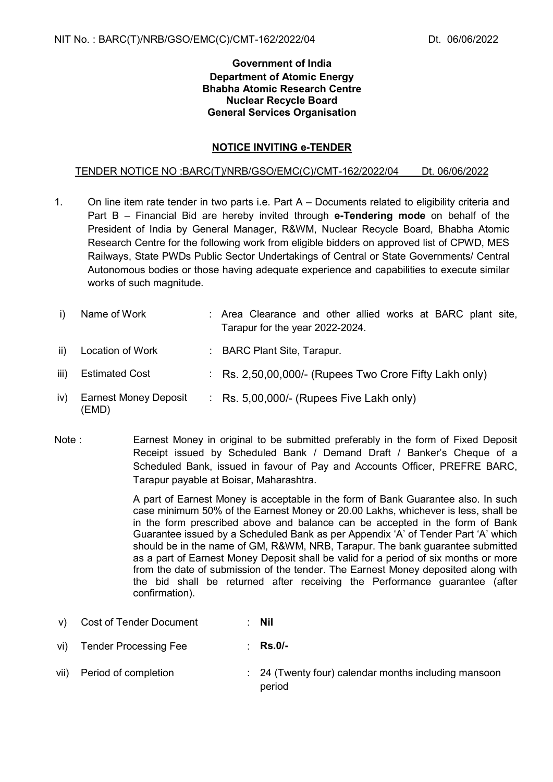#### Government of India Department of Atomic Energy Bhabha Atomic Research Centre Nuclear Recycle Board General Services Organisation

### NOTICE INVITING e-TENDER

#### TENDER NOTICE NO :BARC(T)/NRB/GSO/EMC(C)/CMT-162/2022/04 Dt. 06/06/2022

- 1. On line item rate tender in two parts i.e. Part A Documents related to eligibility criteria and Part  $B - F$ inancial Bid are hereby invited through **e-Tendering mode** on behalf of the President of India by General Manager, R&WM, Nuclear Recycle Board, Bhabha Atomic Research Centre for the following work from eligible bidders on approved list of CPWD, MES Railways, State PWDs Public Sector Undertakings of Central or State Governments/ Central Autonomous bodies or those having adequate experience and capabilities to execute similar works of such magnitude.
- i) Name of Work : Area Clearance and other allied works at BARC plant site, Tarapur for the year 2022-2024. ii) Location of Work : BARC Plant Site, Tarapur. iii) Estimated Cost : Rs. 2,50,00,000/- (Rupees Two Crore Fifty Lakh only) iv) Earnest Money Deposit (EMD) : Rs. 5,00,000/- (Rupees Five Lakh only)
- Note : Earnest Money in original to be submitted preferably in the form of Fixed Deposit Receipt issued by Scheduled Bank / Demand Draft / Banker's Cheque of a Scheduled Bank, issued in favour of Pay and Accounts Officer, PREFRE BARC, Tarapur payable at Boisar, Maharashtra.

 A part of Earnest Money is acceptable in the form of Bank Guarantee also. In such case minimum 50% of the Earnest Money or 20.00 Lakhs, whichever is less, shall be in the form prescribed above and balance can be accepted in the form of Bank Guarantee issued by a Scheduled Bank as per Appendix 'A' of Tender Part 'A' which should be in the name of GM, R&WM, NRB, Tarapur. The bank guarantee submitted as a part of Earnest Money Deposit shall be valid for a period of six months or more from the date of submission of the tender. The Earnest Money deposited along with the bid shall be returned after receiving the Performance guarantee (after confirmation).

- v) Cost of Tender Document : Nil
- vi) Tender Processing Fee : Rs.0/-
- vii) Period of completion : 24 (Twenty four) calendar months including mansoon period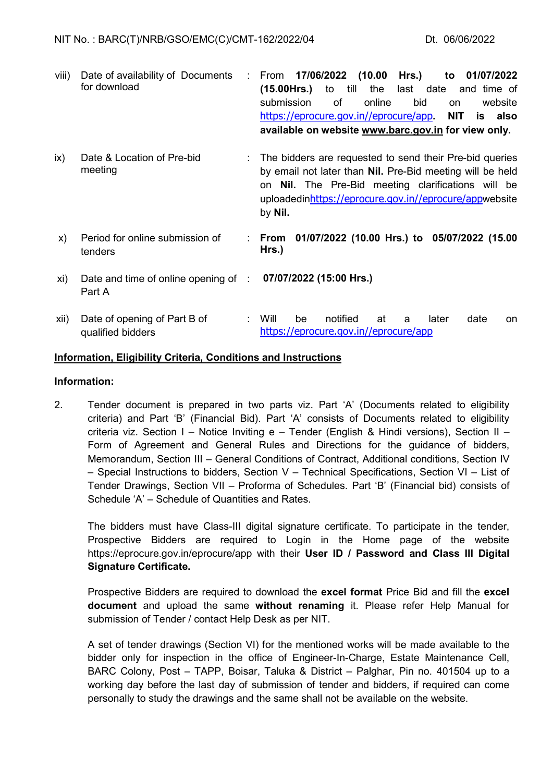| viii)         | Date of availability of Documents<br>for download         | ÷ | 17/06/2022<br>(10.00<br>Hrs.)<br>01/07/2022<br>From<br>to<br>till<br>to<br>the<br>last date<br>$(15.00$ Hrs.)<br>and time of<br>submission<br>of<br>online<br>bid<br>website<br>on.<br>https://eprocure.gov.in//eprocure/app.<br><b>NIT</b><br>also<br>İS.<br>available on website www.barc.gov.in for view only. |
|---------------|-----------------------------------------------------------|---|-------------------------------------------------------------------------------------------------------------------------------------------------------------------------------------------------------------------------------------------------------------------------------------------------------------------|
| $\mathsf{ix}$ | Date & Location of Pre-bid<br>meeting                     |   | The bidders are requested to send their Pre-bid queries<br>by email not later than Nil. Pre-Bid meeting will be held<br>on <b>Nil.</b> The Pre-Bid meeting clarifications will be<br>uploadedinhttps://eprocure.gov.in//eprocure/appwebsite<br>by Nil.                                                            |
| X)            | Period for online submission of<br>tenders                |   | 01/07/2022 (10.00 Hrs.) to 05/07/2022 (15.00<br>From<br>Hrs.)                                                                                                                                                                                                                                                     |
| xi)           | Date and time of online opening of $\therefore$<br>Part A |   | 07/07/2022 (15:00 Hrs.)                                                                                                                                                                                                                                                                                           |
| xii)          | Date of opening of Part B of<br>qualified bidders         |   | notified<br>Will<br>be<br>later<br>at<br>date<br>a<br>on<br>https://eprocure.gov.in//eprocure/app                                                                                                                                                                                                                 |

### Information, Eligibility Criteria, Conditions and Instructions

### Information:

2. Tender document is prepared in two parts viz. Part 'A' (Documents related to eligibility criteria) and Part 'B' (Financial Bid). Part 'A' consists of Documents related to eligibility criteria viz. Section I – Notice Inviting e – Tender (English & Hindi versions), Section II – Form of Agreement and General Rules and Directions for the guidance of bidders, Memorandum, Section III – General Conditions of Contract, Additional conditions, Section IV – Special Instructions to bidders, Section V – Technical Specifications, Section VI – List of Tender Drawings, Section VII – Proforma of Schedules. Part 'B' (Financial bid) consists of Schedule 'A' – Schedule of Quantities and Rates.

 The bidders must have Class-III digital signature certificate. To participate in the tender, Prospective Bidders are required to Login in the Home page of the website https://eprocure.gov.in/eprocure/app with their User ID / Password and Class III Digital Signature Certificate.

Prospective Bidders are required to download the excel format Price Bid and fill the excel document and upload the same without renaming it. Please refer Help Manual for submission of Tender / contact Help Desk as per NIT.

 A set of tender drawings (Section VI) for the mentioned works will be made available to the bidder only for inspection in the office of Engineer-In-Charge, Estate Maintenance Cell, BARC Colony, Post – TAPP, Boisar, Taluka & District – Palghar, Pin no. 401504 up to a working day before the last day of submission of tender and bidders, if required can come personally to study the drawings and the same shall not be available on the website.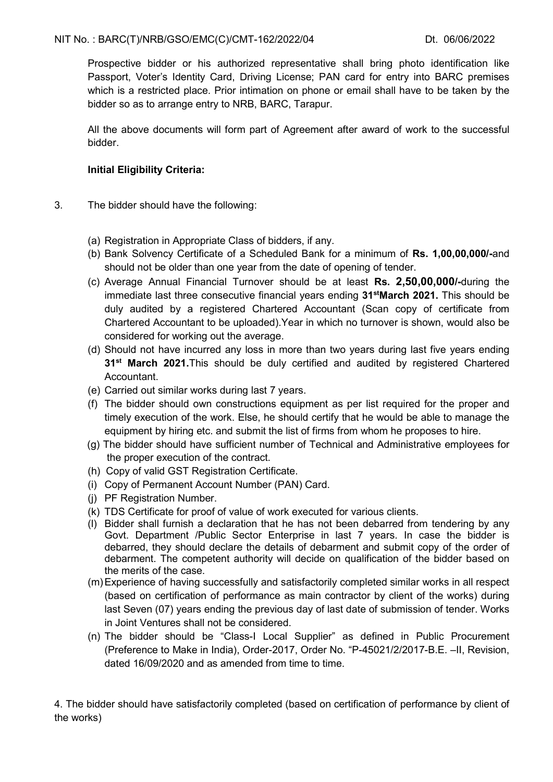Prospective bidder or his authorized representative shall bring photo identification like Passport, Voter's Identity Card, Driving License; PAN card for entry into BARC premises which is a restricted place. Prior intimation on phone or email shall have to be taken by the bidder so as to arrange entry to NRB, BARC, Tarapur.

 All the above documents will form part of Agreement after award of work to the successful bidder.

### Initial Eligibility Criteria:

- 3. The bidder should have the following:
	- (a) Registration in Appropriate Class of bidders, if any.
	- (b) Bank Solvency Certificate of a Scheduled Bank for a minimum of Rs. 1,00,00,000/-and should not be older than one year from the date of opening of tender.
	- (c) Average Annual Financial Turnover should be at least Rs. 2,50,00,000/-during the immediate last three consecutive financial years ending  $31$ <sup>st</sup>March 2021. This should be duly audited by a registered Chartered Accountant (Scan copy of certificate from Chartered Accountant to be uploaded).Year in which no turnover is shown, would also be considered for working out the average.
	- (d) Should not have incurred any loss in more than two years during last five years ending 31<sup>st</sup> March 2021. This should be duly certified and audited by registered Chartered Accountant.
	- (e) Carried out similar works during last 7 years.
	- (f) The bidder should own constructions equipment as per list required for the proper and timely execution of the work. Else, he should certify that he would be able to manage the equipment by hiring etc. and submit the list of firms from whom he proposes to hire.
	- (g) The bidder should have sufficient number of Technical and Administrative employees for the proper execution of the contract.
	- (h) Copy of valid GST Registration Certificate.
	- (i) Copy of Permanent Account Number (PAN) Card.
	- (j) PF Registration Number.
	- (k) TDS Certificate for proof of value of work executed for various clients.
	- (l) Bidder shall furnish a declaration that he has not been debarred from tendering by any Govt. Department /Public Sector Enterprise in last 7 years. In case the bidder is debarred, they should declare the details of debarment and submit copy of the order of debarment. The competent authority will decide on qualification of the bidder based on the merits of the case.
	- (m) Experience of having successfully and satisfactorily completed similar works in all respect (based on certification of performance as main contractor by client of the works) during last Seven (07) years ending the previous day of last date of submission of tender. Works in Joint Ventures shall not be considered.
	- (n) The bidder should be "Class-I Local Supplier" as defined in Public Procurement (Preference to Make in India), Order-2017, Order No. "P-45021/2/2017-B.E. –II, Revision, dated 16/09/2020 and as amended from time to time.

4. The bidder should have satisfactorily completed (based on certification of performance by client of the works)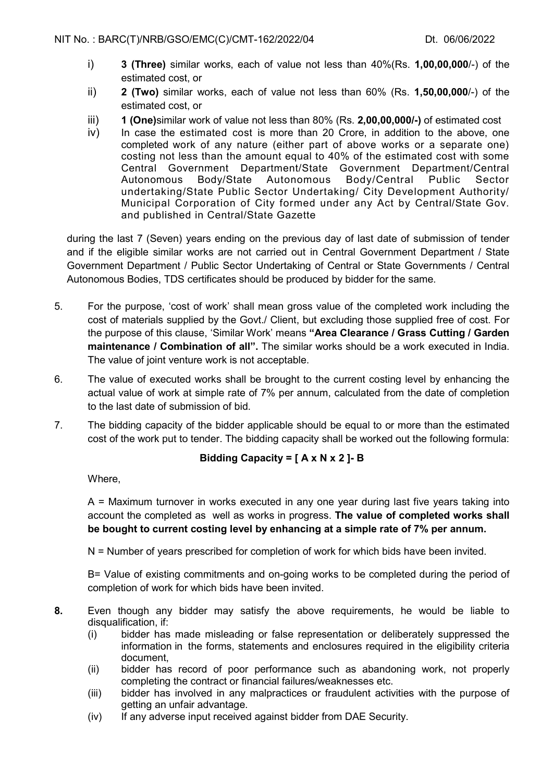- i) 3 (Three) similar works, each of value not less than 40%(Rs. 1,00,00,000/-) of the estimated cost, or
- ii) 2 (Two) similar works, each of value not less than 60% (Rs. 1,50,00,000/-) of the estimated cost, or
- iii) 1 (One)similar work of value not less than 80% (Rs. 2,00,00,000/-) of estimated cost
- iv) In case the estimated cost is more than 20 Crore, in addition to the above, one completed work of any nature (either part of above works or a separate one) costing not less than the amount equal to 40% of the estimated cost with some Central Government Department/State Government Department/Central Autonomous Body/State Autonomous Body/Central Public Sector undertaking/State Public Sector Undertaking/ City Development Authority/ Municipal Corporation of City formed under any Act by Central/State Gov. and published in Central/State Gazette

during the last 7 (Seven) years ending on the previous day of last date of submission of tender and if the eligible similar works are not carried out in Central Government Department / State Government Department / Public Sector Undertaking of Central or State Governments / Central Autonomous Bodies, TDS certificates should be produced by bidder for the same.

- 5. For the purpose, 'cost of work' shall mean gross value of the completed work including the cost of materials supplied by the Govt./ Client, but excluding those supplied free of cost. For the purpose of this clause, 'Similar Work' means "Area Clearance / Grass Cutting / Garden maintenance / Combination of all". The similar works should be a work executed in India. The value of joint venture work is not acceptable.
- 6. The value of executed works shall be brought to the current costing level by enhancing the actual value of work at simple rate of 7% per annum, calculated from the date of completion to the last date of submission of bid.
- 7. The bidding capacity of the bidder applicable should be equal to or more than the estimated cost of the work put to tender. The bidding capacity shall be worked out the following formula:

### Bidding Capacity =  $[A \times N \times 2]$ - B

Where,

A = Maximum turnover in works executed in any one year during last five years taking into account the completed as well as works in progress. The value of completed works shall be bought to current costing level by enhancing at a simple rate of 7% per annum.

N = Number of years prescribed for completion of work for which bids have been invited.

B= Value of existing commitments and on-going works to be completed during the period of completion of work for which bids have been invited.

- 8. Even though any bidder may satisfy the above requirements, he would be liable to disqualification, if:
	- (i) bidder has made misleading or false representation or deliberately suppressed the information in the forms, statements and enclosures required in the eligibility criteria document,
	- (ii) bidder has record of poor performance such as abandoning work, not properly completing the contract or financial failures/weaknesses etc.
	- (iii) bidder has involved in any malpractices or fraudulent activities with the purpose of getting an unfair advantage.
	- (iv) If any adverse input received against bidder from DAE Security.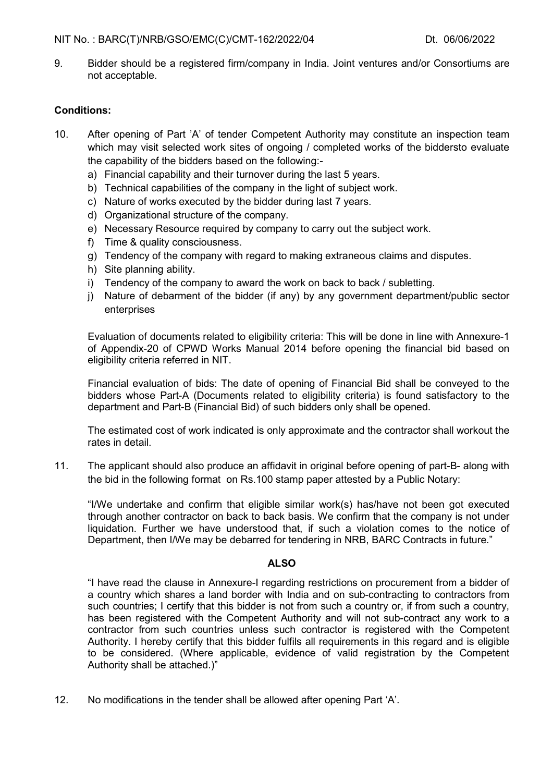9. Bidder should be a registered firm/company in India. Joint ventures and/or Consortiums are not acceptable.

### Conditions:

- 10. After opening of Part 'A' of tender Competent Authority may constitute an inspection team which may visit selected work sites of ongoing / completed works of the biddersto evaluate the capability of the bidders based on the following:
	- a) Financial capability and their turnover during the last 5 years.
	- b) Technical capabilities of the company in the light of subject work.
	- c) Nature of works executed by the bidder during last 7 years.
	- d) Organizational structure of the company.
	- e) Necessary Resource required by company to carry out the subject work.
	- f) Time & quality consciousness.
	- g) Tendency of the company with regard to making extraneous claims and disputes.
	- h) Site planning ability.
	- i) Tendency of the company to award the work on back to back / subletting.
	- j) Nature of debarment of the bidder (if any) by any government department/public sector enterprises

Evaluation of documents related to eligibility criteria: This will be done in line with Annexure-1 of Appendix-20 of CPWD Works Manual 2014 before opening the financial bid based on eligibility criteria referred in NIT.

Financial evaluation of bids: The date of opening of Financial Bid shall be conveyed to the bidders whose Part-A (Documents related to eligibility criteria) is found satisfactory to the department and Part-B (Financial Bid) of such bidders only shall be opened.

The estimated cost of work indicated is only approximate and the contractor shall workout the rates in detail.

11. The applicant should also produce an affidavit in original before opening of part-B- along with the bid in the following format on Rs.100 stamp paper attested by a Public Notary:

 "I/We undertake and confirm that eligible similar work(s) has/have not been got executed through another contractor on back to back basis. We confirm that the company is not under liquidation. Further we have understood that, if such a violation comes to the notice of Department, then I/We may be debarred for tendering in NRB, BARC Contracts in future."

### ALSO

"I have read the clause in Annexure-I regarding restrictions on procurement from a bidder of a country which shares a land border with India and on sub-contracting to contractors from such countries; I certify that this bidder is not from such a country or, if from such a country, has been registered with the Competent Authority and will not sub-contract any work to a contractor from such countries unless such contractor is registered with the Competent Authority. I hereby certify that this bidder fulfils all requirements in this regard and is eligible to be considered. (Where applicable, evidence of valid registration by the Competent Authority shall be attached.)"

12. No modifications in the tender shall be allowed after opening Part 'A'.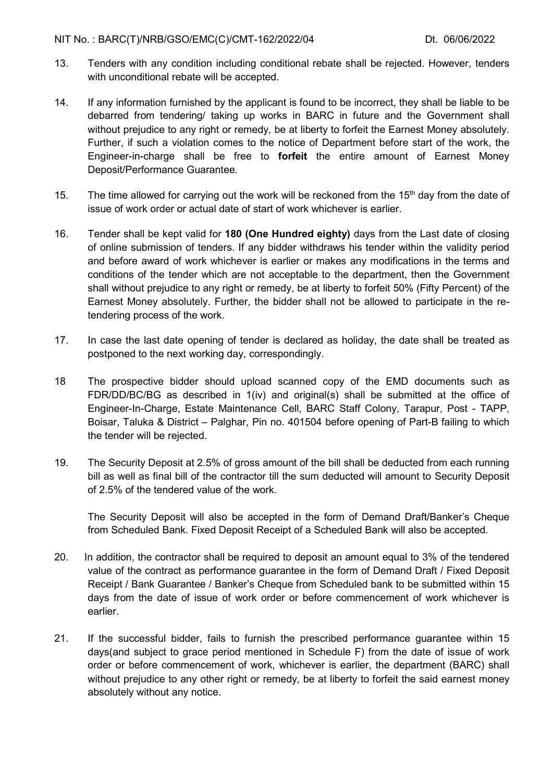- 13. Tenders with any condition including conditional rebate shall be rejected. However, tenders with unconditional rebate will be accepted.
- 14. If any information furnished by the applicant is found to be incorrect, they shall be liable to be debarred from tendering/ taking up works in BARC in future and the Government shall without prejudice to any right or remedy, be at liberty to forfeit the Earnest Money absolutely. Further, if such a violation comes to the notice of Department before start of the work, the Engineer-in-charge shall be free to forfeit the entire amount of Earnest Money Deposit/Performance Guarantee.
- 15. The time allowed for carrying out the work will be reckoned from the  $15<sup>th</sup>$  day from the date of issue of work order or actual date of start of work whichever is earlier.
- 16. Tender shall be kept valid for 180 (One Hundred eighty) days from the Last date of closing of online submission of tenders. If any bidder withdraws his tender within the validity period and before award of work whichever is earlier or makes any modifications in the terms and conditions of the tender which are not acceptable to the department, then the Government shall without prejudice to any right or remedy, be at liberty to forfeit 50% (Fifty Percent) of the Earnest Money absolutely. Further, the bidder shall not be allowed to participate in the retendering process of the work.
- 17. In case the last date opening of tender is declared as holiday, the date shall be treated as postponed to the next working day, correspondingly.
- 18 The prospective bidder should upload scanned copy of the EMD documents such as FDR/DD/BC/BG as described in 1(iv) and original(s) shall be submitted at the office of Engineer-In-Charge, Estate Maintenance Cell, BARC Staff Colony, Tarapur, Post - TAPP, Boisar, Taluka & District – Palghar, Pin no. 401504 before opening of Part-B failing to which the tender will be rejected.
- 19. The Security Deposit at 2.5% of gross amount of the bill shall be deducted from each running bill as well as final bill of the contractor till the sum deducted will amount to Security Deposit of 2.5% of the tendered value of the work.

The Security Deposit will also be accepted in the form of Demand Draft/Banker's Cheque from Scheduled Bank. Fixed Deposit Receipt of a Scheduled Bank will also be accepted.

- 20. In addition, the contractor shall be required to deposit an amount equal to 3% of the tendered value of the contract as performance guarantee in the form of Demand Draft / Fixed Deposit Receipt / Bank Guarantee / Banker's Cheque from Scheduled bank to be submitted within 15 days from the date of issue of work order or before commencement of work whichever is earlier.
- 21. If the successful bidder, fails to furnish the prescribed performance guarantee within 15 days(and subject to grace period mentioned in Schedule F) from the date of issue of work order or before commencement of work, whichever is earlier, the department (BARC) shall without prejudice to any other right or remedy, be at liberty to forfeit the said earnest money absolutely without any notice.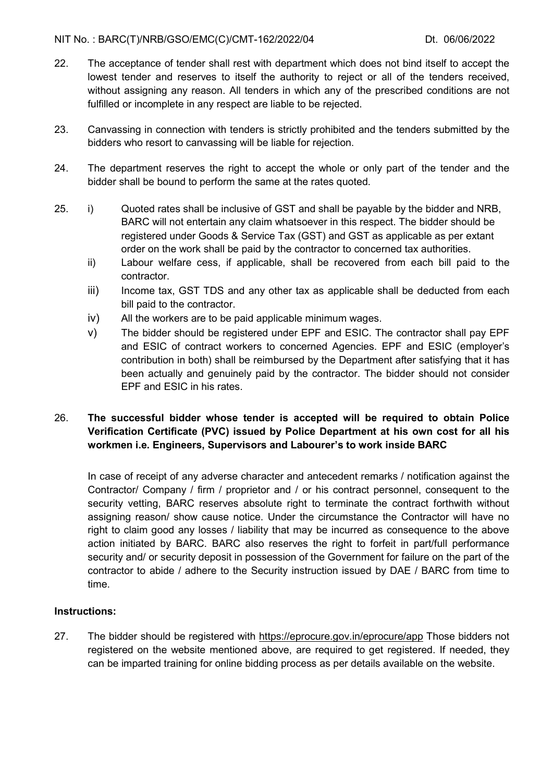- 22. The acceptance of tender shall rest with department which does not bind itself to accept the lowest tender and reserves to itself the authority to reject or all of the tenders received, without assigning any reason. All tenders in which any of the prescribed conditions are not fulfilled or incomplete in any respect are liable to be rejected.
- 23. Canvassing in connection with tenders is strictly prohibited and the tenders submitted by the bidders who resort to canvassing will be liable for rejection.
- 24. The department reserves the right to accept the whole or only part of the tender and the bidder shall be bound to perform the same at the rates quoted.
- 25. i) Quoted rates shall be inclusive of GST and shall be payable by the bidder and NRB, BARC will not entertain any claim whatsoever in this respect. The bidder should be registered under Goods & Service Tax (GST) and GST as applicable as per extant order on the work shall be paid by the contractor to concerned tax authorities.
	- ii) Labour welfare cess, if applicable, shall be recovered from each bill paid to the contractor.
	- iii) Income tax, GST TDS and any other tax as applicable shall be deducted from each bill paid to the contractor.
	- iv) All the workers are to be paid applicable minimum wages.
	- v) The bidder should be registered under EPF and ESIC. The contractor shall pay EPF and ESIC of contract workers to concerned Agencies. EPF and ESIC (employer's contribution in both) shall be reimbursed by the Department after satisfying that it has been actually and genuinely paid by the contractor. The bidder should not consider EPF and ESIC in his rates.

### 26. The successful bidder whose tender is accepted will be required to obtain Police Verification Certificate (PVC) issued by Police Department at his own cost for all his workmen i.e. Engineers, Supervisors and Labourer's to work inside BARC

In case of receipt of any adverse character and antecedent remarks / notification against the Contractor/ Company / firm / proprietor and / or his contract personnel, consequent to the security vetting, BARC reserves absolute right to terminate the contract forthwith without assigning reason/ show cause notice. Under the circumstance the Contractor will have no right to claim good any losses / liability that may be incurred as consequence to the above action initiated by BARC. BARC also reserves the right to forfeit in part/full performance security and/ or security deposit in possession of the Government for failure on the part of the contractor to abide / adhere to the Security instruction issued by DAE / BARC from time to time.

### Instructions:

27. The bidder should be registered with https://eprocure.gov.in/eprocure/app Those bidders not registered on the website mentioned above, are required to get registered. If needed, they can be imparted training for online bidding process as per details available on the website.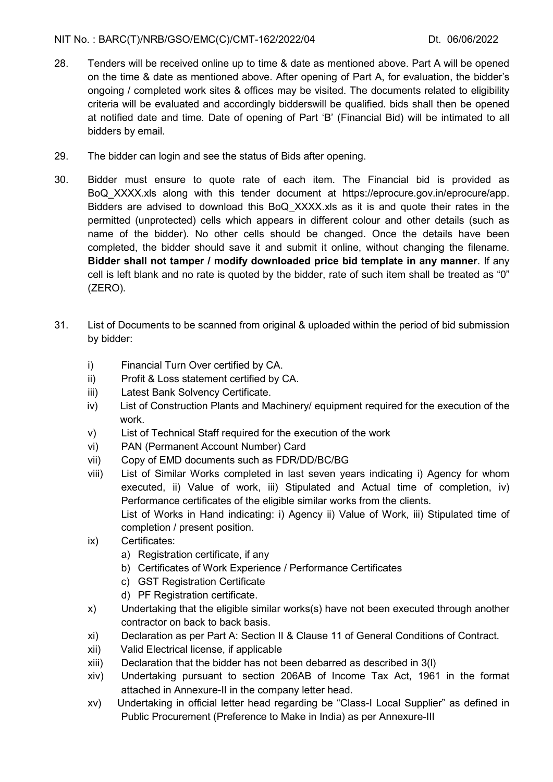- 28. Tenders will be received online up to time & date as mentioned above. Part A will be opened on the time & date as mentioned above. After opening of Part A, for evaluation, the bidder's ongoing / completed work sites & offices may be visited. The documents related to eligibility criteria will be evaluated and accordingly bidderswill be qualified. bids shall then be opened at notified date and time. Date of opening of Part 'B' (Financial Bid) will be intimated to all bidders by email.
- 29. The bidder can login and see the status of Bids after opening.
- 30. Bidder must ensure to quote rate of each item. The Financial bid is provided as BoQ\_XXXX.xls along with this tender document at https://eprocure.gov.in/eprocure/app. Bidders are advised to download this BoQ\_XXXX.xls as it is and quote their rates in the permitted (unprotected) cells which appears in different colour and other details (such as name of the bidder). No other cells should be changed. Once the details have been completed, the bidder should save it and submit it online, without changing the filename. Bidder shall not tamper / modify downloaded price bid template in any manner. If any cell is left blank and no rate is quoted by the bidder, rate of such item shall be treated as "0" (ZERO).
- 31. List of Documents to be scanned from original & uploaded within the period of bid submission by bidder:
	- i) Financial Turn Over certified by CA.
	- ii) Profit & Loss statement certified by CA.
	- iii) Latest Bank Solvency Certificate.
	- iv) List of Construction Plants and Machinery/ equipment required for the execution of the work.
	- v) List of Technical Staff required for the execution of the work
	- vi) PAN (Permanent Account Number) Card
	- vii) Copy of EMD documents such as FDR/DD/BC/BG
	- viii) List of Similar Works completed in last seven years indicating i) Agency for whom executed, ii) Value of work, iii) Stipulated and Actual time of completion, iv) Performance certificates of the eligible similar works from the clients. List of Works in Hand indicating: i) Agency ii) Value of Work, iii) Stipulated time of completion / present position.
	- ix) Certificates:
		- a) Registration certificate, if any
		- b) Certificates of Work Experience / Performance Certificates
		- c) GST Registration Certificate
		- d) PF Registration certificate.
	- x) Undertaking that the eligible similar works(s) have not been executed through another contractor on back to back basis.
	- xi) Declaration as per Part A: Section II & Clause 11 of General Conditions of Contract.
	- xii) Valid Electrical license, if applicable
	- xiii) Declaration that the bidder has not been debarred as described in 3(l)
	- xiv) Undertaking pursuant to section 206AB of Income Tax Act, 1961 in the format attached in Annexure-II in the company letter head.
	- xv) Undertaking in official letter head regarding be "Class-I Local Supplier" as defined in Public Procurement (Preference to Make in India) as per Annexure-III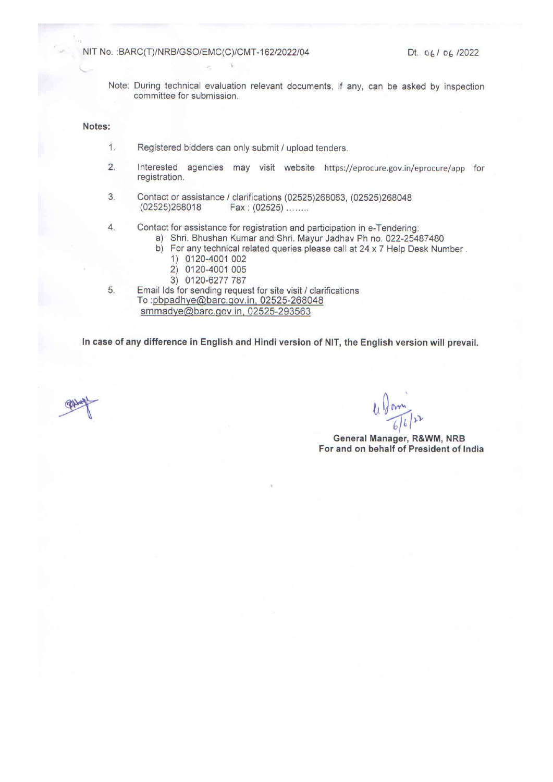NIT No. : BARC(T)/NRB/GSO/EMC(C)/CMT-162/2022/04

Note: During technical evaluation relevant documents, if any, can be asked by inspection committee for submission.

NIT NIT NIT NATURE AND INTERFERING CONTINUES. THE CONTINUES OF CONTINUES OF CONTINUES OF CONTINUES OF CONTINUES

#### Notes:

- $1.$ Registered bidders can only submit / upload tenders.
- $\overline{2}$ . Interested agencies may visit website https://eprocure.gov.in/eprocure/app for registration.
- 3. Contact or assistance / clarifications (02525)268063, (02525)268048  $(02525)268018$ Fax: (02525) ........
- $4.$ Contact for assistance for registration and participation in e-Tendering:
	- a) Shri. Bhushan Kumar and Shri. Mayur Jadhav Ph no. 022-25487480
	- b) For any technical related queries please call at 24 x 7 Help Desk Number.
		- 1) 0120-4001 002
		- 2) 0120-4001 005
		- 3) 0120-6277 787
- 5. Email Ids for sending request for site visit / clarifications To:pbpadhye@barc.gov.in, 02525-268048 smmadye@barc.gov.in, 02525-293563

In case of any difference in English and Hindi version of NIT, the English version will prevail.

General Manager, R&WM, NRB For and on behalf of President of India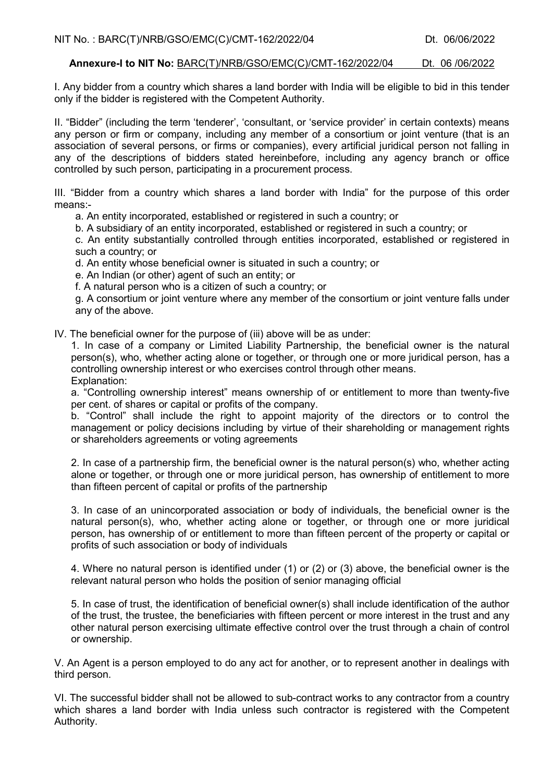#### Annexure-I to NIT No: BARC(T)/NRB/GSO/EMC(C)/CMT-162/2022/04 Dt. 06 /06/2022

I. Any bidder from a country which shares a land border with India will be eligible to bid in this tender only if the bidder is registered with the Competent Authority.

II. "Bidder" (including the term 'tenderer', 'consultant, or 'service provider' in certain contexts) means any person or firm or company, including any member of a consortium or joint venture (that is an association of several persons, or firms or companies), every artificial juridical person not falling in any of the descriptions of bidders stated hereinbefore, including any agency branch or office controlled by such person, participating in a procurement process.

III. "Bidder from a country which shares a land border with India" for the purpose of this order means:-

a. An entity incorporated, established or registered in such a country; or

b. A subsidiary of an entity incorporated, established or registered in such a country; or

c. An entity substantially controlled through entities incorporated, established or registered in such a country; or

d. An entity whose beneficial owner is situated in such a country; or

e. An Indian (or other) agent of such an entity; or

f. A natural person who is a citizen of such a country; or

g. A consortium or joint venture where any member of the consortium or joint venture falls under any of the above.

IV. The beneficial owner for the purpose of (iii) above will be as under:

1. In case of a company or Limited Liability Partnership, the beneficial owner is the natural person(s), who, whether acting alone or together, or through one or more juridical person, has a controlling ownership interest or who exercises control through other means. Explanation:

a. "Controlling ownership interest" means ownership of or entitlement to more than twenty-five per cent. of shares or capital or profits of the company.

b. "Control" shall include the right to appoint majority of the directors or to control the management or policy decisions including by virtue of their shareholding or management rights or shareholders agreements or voting agreements

2. In case of a partnership firm, the beneficial owner is the natural person(s) who, whether acting alone or together, or through one or more juridical person, has ownership of entitlement to more than fifteen percent of capital or profits of the partnership

3. In case of an unincorporated association or body of individuals, the beneficial owner is the natural person(s), who, whether acting alone or together, or through one or more juridical person, has ownership of or entitlement to more than fifteen percent of the property or capital or profits of such association or body of individuals

4. Where no natural person is identified under (1) or (2) or (3) above, the beneficial owner is the relevant natural person who holds the position of senior managing official

5. In case of trust, the identification of beneficial owner(s) shall include identification of the author of the trust, the trustee, the beneficiaries with fifteen percent or more interest in the trust and any other natural person exercising ultimate effective control over the trust through a chain of control or ownership.

V. An Agent is a person employed to do any act for another, or to represent another in dealings with third person.

VI. The successful bidder shall not be allowed to sub-contract works to any contractor from a country which shares a land border with India unless such contractor is registered with the Competent Authority.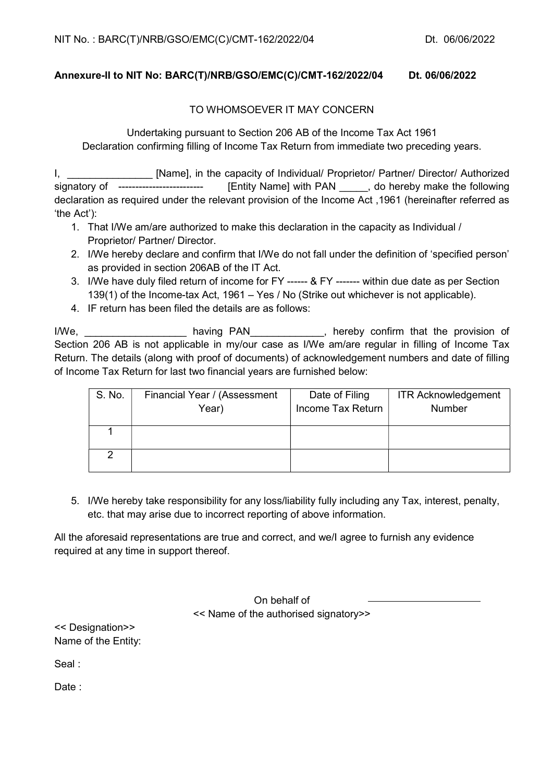### Annexure-II to NIT No: BARC(T)/NRB/GSO/EMC(C)/CMT-162/2022/04 Dt. 06/06/2022

### TO WHOMSOEVER IT MAY CONCERN

Undertaking pursuant to Section 206 AB of the Income Tax Act 1961 Declaration confirming filling of Income Tax Return from immediate two preceding years.

I, \_\_\_\_\_\_\_\_\_\_\_\_\_\_\_ [Name], in the capacity of Individual/ Proprietor/ Partner/ Director/ Authorized signatory of ------------------------- [Entity Name] with PAN , do hereby make the following declaration as required under the relevant provision of the Income Act ,1961 (hereinafter referred as 'the Act'):

- 1. That I/We am/are authorized to make this declaration in the capacity as Individual / Proprietor/ Partner/ Director.
- 2. I/We hereby declare and confirm that I/We do not fall under the definition of 'specified person' as provided in section 206AB of the IT Act.
- 3. I/We have duly filed return of income for FY ------ & FY ------- within due date as per Section 139(1) of the Income-tax Act, 1961 – Yes / No (Strike out whichever is not applicable).
- 4. IF return has been filed the details are as follows:

I/We, **I/We, I/We, EXECUTE:** having PAN **All provision of** the provision of Section 206 AB is not applicable in my/our case as I/We am/are regular in filling of Income Tax Return. The details (along with proof of documents) of acknowledgement numbers and date of filling of Income Tax Return for last two financial years are furnished below:

| S. No. | Financial Year / (Assessment<br>Year) | Date of Filing<br>Income Tax Return | <b>ITR Acknowledgement</b><br><b>Number</b> |
|--------|---------------------------------------|-------------------------------------|---------------------------------------------|
|        |                                       |                                     |                                             |
|        |                                       |                                     |                                             |

5. I/We hereby take responsibility for any loss/liability fully including any Tax, interest, penalty, etc. that may arise due to incorrect reporting of above information.

All the aforesaid representations are true and correct, and we/I agree to furnish any evidence required at any time in support thereof.

> On behalf of << Name of the authorised signatory>>

<< Designation>> Name of the Entity:

Seal :

Date :